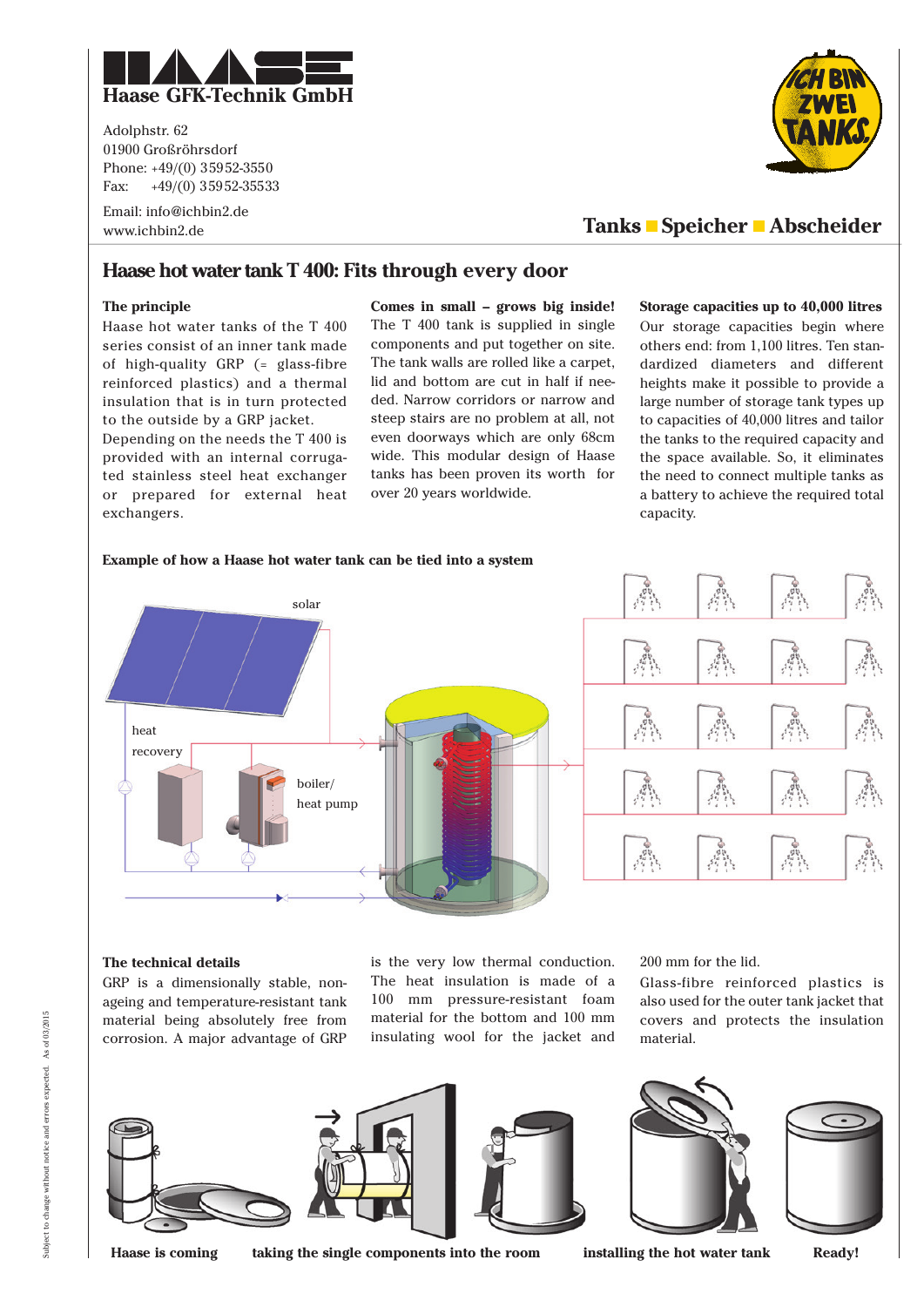

Adolphstr. 62 01900 Großröhrsdorf Phone: +49/(0) 35952-3550 Fax:  $+49/(0)$  35952-35533

Email: info@ichbin2.de www.ichbin2.de



# **Tanks Speicher Abscheider**

## **Haase hot water tank T 400: Fits through every door**

## **The principle**

Haase hot water tanks of the T 400 series consist of an inner tank made of high-quality GRP (= glass-fibre reinforced plastics) and a thermal insulation that is in turn protected to the outside by a GRP jacket.

Depending on the needs the T 400 is provided with an internal corrugated stainless steel heat exchanger or prepared for external heat exchangers.

**Comes in small – grows big inside!** The T 400 tank is supplied in single components and put together on site. The tank walls are rolled like a carpet, lid and bottom are cut in half if needed. Narrow corridors or narrow and steep stairs are no problem at all, not even doorways which are only 68cm wide. This modular design of Haase tanks has been proven its worth for over 20 years worldwide.

#### **Storage capacities up to 40,000 litres**

Our storage capacities begin where others end: from 1,100 litres. Ten standardized diameters and different heights make it possible to provide a large number of storage tank types up to capacities of 40,000 litres and tailor the tanks to the required capacity and the space available. So, it eliminates the need to connect multiple tanks as a battery to achieve the required total capacity.



## **The technical details**

GRP is a dimensionally stable, nonageing and temperature-resistant tank material being absolutely free from corrosion. A major advantage of GRP

is the very low thermal conduction. The heat insulation is made of a 100 mm pressure-resistant foam material for the bottom and 100 mm insulating wool for the jacket and

200 mm for the lid.

Glass-fibre reinforced plastics is also used for the outer tank jacket that covers and protects the insulation material.



**Haase is coming taking the single components into the room installing the hot water tank Ready!**